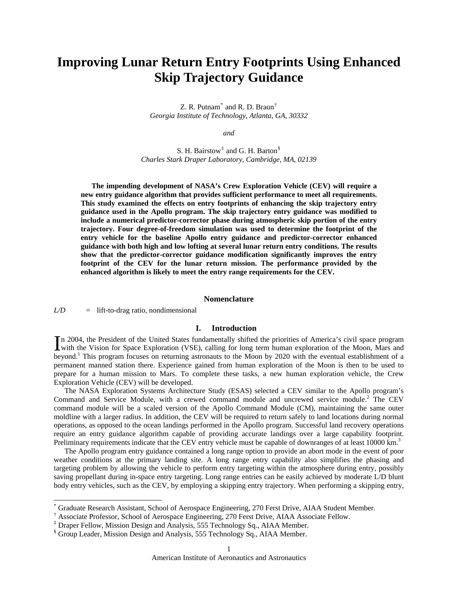# **Improving Lunar Return Entry Footprints Using Enhanced Skip Trajectory Guidance**

Z. R. Putnam $^*$  $^*$  and R. D. Braun $^{\dagger}$ *Georgia Institute of Technology, Atlanta, GA, 30332* 

*and* 

S. H. Bairstow<sup>[‡](#page-0-2)</sup> and G. H. Barton<sup>[§](#page-0-3)</sup> *Charles Stark Draper Laboratory, Cambridge, MA, 02139* 

**The impending development of NASA's Crew Exploration Vehicle (CEV) will require a new entry guidance algorithm that provides sufficient performance to meet all requirements. This study examined the effects on entry footprints of enhancing the skip trajectory entry guidance used in the Apollo program. The skip trajectory entry guidance was modified to include a numerical predictor-corrector phase during atmospheric skip portion of the entry trajectory. Four degree-of-freedom simulation was used to determine the footprint of the entry vehicle for the baseline Apollo entry guidance and predictor-corrector enhanced guidance with both high and low lofting at several lunar return entry conditions. The results show that the predictor-corrector guidance modification significantly improves the entry footprint of the CEV for the lunar return mission. The performance provided by the enhanced algorithm is likely to meet the entry range requirements for the CEV.** 

## **Nomenclature**

*L/D* = lift-to-drag ratio, nondimensional

 $\overline{\phantom{a}}$ 

# **I. Introduction**

n 2004, the President of the United States fundamentally shifted the priorities of America's civil space program In 2004, the President of the United States fundamentally shifted the priorities of America's civil space program<br>with the Vision for Space Exploration (VSE), calling for long term human exploration of the Moon, Mars and beyond.<sup>[1](#page-13-0)</sup> This program focuses on returning astronauts to the Moon by 2020 with the eventual establishment of a permanent manned station there. Experience gained from human exploration of the Moon is then to be used to prepare for a human mission to Mars. To complete these tasks, a new human exploration vehicle, the Crew Exploration Vehicle (CEV) will be developed.

The NASA Exploration Systems Architecture Study (ESAS) selected a CEV similar to the Apollo program's Command and Service Module, with a crewed command module and uncrewed service module.<sup>[2](#page-13-1)</sup> The CEV command module will be a scaled version of the Apollo Command Module (CM), maintaining the same outer moldline with a larger radius. In addition, the CEV will be required to return safely to land locations during normal operations, as opposed to the ocean landings performed in the Apollo program. Successful land recovery operations require an entry guidance algorithm capable of providing accurate landings over a large capability footprint. Preliminary requirements indicate that the CEV entry vehicle must be capable of downranges of at least 10000 km.<sup>3</sup>

 The Apollo program entry guidance contained a long range option to provide an abort mode in the event of poor weather conditions at the primary landing site. A long range entry capability also simplifies the phasing and targeting problem by allowing the vehicle to perform entry targeting within the atmosphere during entry, possibly saving propellant during in-space entry targeting. Long range entries can be easily achieved by moderate L/D blunt body entry vehicles, such as the CEV, by employing a skipping entry trajectory. When performing a skipping entry,

<span id="page-0-0"></span><sup>\*</sup> Graduate Research Assistant, School of Aerospace Engineering, 270 Ferst Drive, AIAA Student Member.

<span id="page-0-1"></span><sup>†</sup> Associate Professor, School of Aerospace Engineering, 270 Ferst Drive, AIAA Associate Fellow.

<sup>‡</sup> Draper Fellow, Mission Design and Analysis, 555 Technology Sq., AIAA Member.

<span id="page-0-3"></span><span id="page-0-2"></span><sup>§</sup> Group Leader, Mission Design and Analysis, 555 Technology Sq., AIAA Member.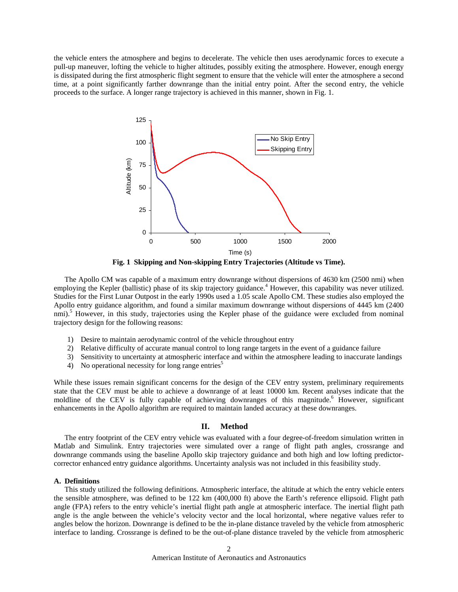the vehicle enters the atmosphere and begins to decelerate. The vehicle then uses aerodynamic forces to execute a pull-up maneuver, lofting the vehicle to higher altitudes, possibly exiting the atmosphere. However, enough energy is dissipated during the first atmospheric flight segment to ensure that the vehicle will enter the atmosphere a second time, at a point significantly farther downrange than the initial entry point. After the second entry, the vehicle proceeds to the surface. A longer range trajectory is achieved in this manner, shown in [Fig. 1.](#page-1-0)



**Fig. 1 Skipping and Non-skipping Entry Trajectories (Altitude vs Time).** 

<span id="page-1-0"></span> The Apollo CM was capable of a maximum entry downrange without dispersions of 4630 km (2500 nmi) when employing the Kepler (ballistic) phase of its skip trajectory guidance.<sup>[4](#page-14-1)</sup> However, this capability was never utilized. Studies for the First Lunar Outpost in the early 1990s used a 1.05 scale Apollo CM. These studies also employed the Apollo entry guidance algorithm, and found a similar maximum downrange without dispersions of 4445 km (2400 nmi).<sup>[5](#page-14-2)</sup> However, in this study, trajectories using the Kepler phase of the guidance were excluded from nominal trajectory design for the following reasons:

- 1) Desire to maintain aerodynamic control of the vehicle throughout entry
- 2) Relative difficulty of accurate manual control to long range targets in the event of a guidance failure
- 3) Sensitivity to uncertainty at atmospheric interface and within the atmosphere leading to inaccurate landings
- 4) No operational necessity for long range entries<sup>5</sup>

While these issues remain significant concerns for the design of the CEV entry system, preliminary requirements state that the CEV must be able to achieve a downrange of at least 10000 km. Recent analyses indicate that the moldline of the CEV is fully capable of achieving downranges of this magnitude.<sup>[6](#page-14-3)</sup> However, significant enhancements in the Apollo algorithm are required to maintain landed accuracy at these downranges.

## **II. Method**

The entry footprint of the CEV entry vehicle was evaluated with a four degree-of-freedom simulation written in Matlab and Simulink. Entry trajectories were simulated over a range of flight path angles, crossrange and downrange commands using the baseline Apollo skip trajectory guidance and both high and low lofting predictorcorrector enhanced entry guidance algorithms. Uncertainty analysis was not included in this feasibility study.

#### **A. Definitions**

 This study utilized the following definitions. Atmospheric interface, the altitude at which the entry vehicle enters the sensible atmosphere, was defined to be 122 km (400,000 ft) above the Earth's reference ellipsoid. Flight path angle (FPA) refers to the entry vehicle's inertial flight path angle at atmospheric interface. The inertial flight path angle is the angle between the vehicle's velocity vector and the local horizontal, where negative values refer to angles below the horizon. Downrange is defined to be the in-plane distance traveled by the vehicle from atmospheric interface to landing. Crossrange is defined to be the out-of-plane distance traveled by the vehicle from atmospheric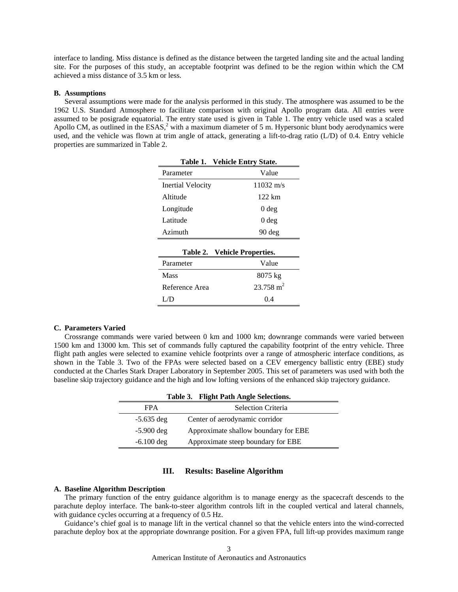interface to landing. Miss distance is defined as the distance between the targeted landing site and the actual landing site. For the purposes of this study, an acceptable footprint was defined to be the region within which the CM achieved a miss distance of 3.5 km or less.

## **B. Assumptions**

<span id="page-2-0"></span>Several assumptions were made for the analysis performed in this study. The atmosphere was assumed to be the 1962 U.S. Standard Atmosphere to facilitate comparison with original Apollo program data. All entries were assumed to be posigrade equatorial. The entry state used is given in [Table 1.](#page-2-0) The entry vehicle used was a scaled Apollo CM, as outlined in the  $ESAS<sup>2</sup>$  $ESAS<sup>2</sup>$  $ESAS<sup>2</sup>$  with a maximum diameter of 5 m. Hypersonic blunt body aerodynamics were used, and the vehicle was flown at trim angle of attack, generating a lift-to-drag ratio (L/D) of 0.4. Entry vehicle properties are summarized in [Table 2](#page-2-1).

**Table 1. Vehicle Entry State.** 

| Venicle Entry State.         |  |  |  |  |
|------------------------------|--|--|--|--|
| Value                        |  |  |  |  |
| $11032 \text{ m/s}$          |  |  |  |  |
| 122 km                       |  |  |  |  |
| 0 deg                        |  |  |  |  |
| 0 <sub>deg</sub>             |  |  |  |  |
| $90 \text{ deg}$             |  |  |  |  |
|                              |  |  |  |  |
| Table 2. Vehicle Properties. |  |  |  |  |
| Value                        |  |  |  |  |
| 8075 kg                      |  |  |  |  |
| $23.758 \text{ m}^2$         |  |  |  |  |
| 0.4                          |  |  |  |  |
|                              |  |  |  |  |

#### <span id="page-2-1"></span>**C. Parameters Varied**

<span id="page-2-2"></span>Crossrange commands were varied between 0 km and 1000 km; downrange commands were varied between 1500 km and 13000 km. This set of commands fully captured the capability footprint of the entry vehicle. Three flight path angles were selected to examine vehicle footprints over a range of atmospheric interface conditions, as shown in the [Table 3](#page-2-2). Two of the FPAs were selected based on a CEV emergency ballistic entry (EBE) study conducted at the Charles Stark Draper Laboratory in September 2005. This set of parameters was used with both the baseline skip trajectory guidance and the high and low lofting versions of the enhanced skip trajectory guidance.

| Table 3. Flight Path Angle Selections. |                                      |  |  |  |
|----------------------------------------|--------------------------------------|--|--|--|
| <b>FPA</b>                             | Selection Criteria                   |  |  |  |
| $-5.635$ deg                           | Center of aerodynamic corridor       |  |  |  |
| $-5.900 \text{ deg}$                   | Approximate shallow boundary for EBE |  |  |  |
| $-6.100 \deg$                          | Approximate steep boundary for EBE   |  |  |  |

#### **III. Results: Baseline Algorithm**

#### **A. Baseline Algorithm Description**

The primary function of the entry guidance algorithm is to manage energy as the spacecraft descends to the parachute deploy interface. The bank-to-steer algorithm controls lift in the coupled vertical and lateral channels, with guidance cycles occurring at a frequency of 0.5 Hz.

Guidance's chief goal is to manage lift in the vertical channel so that the vehicle enters into the wind-corrected parachute deploy box at the appropriate downrange position. For a given FPA, full lift-up provides maximum range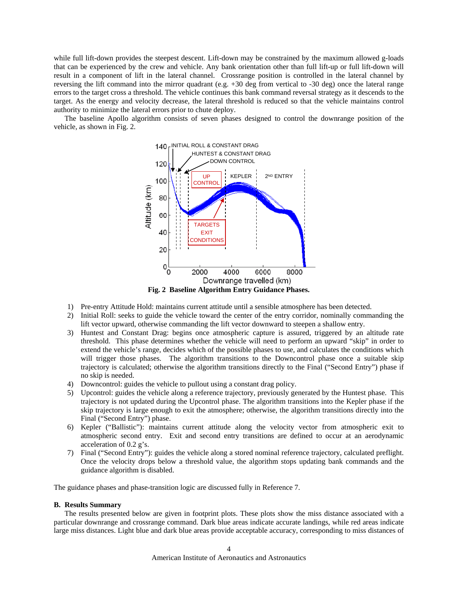while full lift-down provides the steepest descent. Lift-down may be constrained by the maximum allowed g-loads that can be experienced by the crew and vehicle. Any bank orientation other than full lift-up or full lift-down will result in a component of lift in the lateral channel. Crossrange position is controlled in the lateral channel by reversing the lift command into the mirror quadrant (e.g. +30 deg from vertical to -30 deg) once the lateral range errors to the target cross a threshold. The vehicle continues this bank command reversal strategy as it descends to the target. As the energy and velocity decrease, the lateral threshold is reduced so that the vehicle maintains control authority to minimize the lateral errors prior to chute deploy.

The baseline Apollo algorithm consists of seven phases designed to control the downrange position of the vehicle, as shown in [Fig. 2.](#page-3-0)



- <span id="page-3-0"></span>1) Pre-entry Attitude Hold: maintains current attitude until a sensible atmosphere has been detected.
- 2) Initial Roll: seeks to guide the vehicle toward the center of the entry corridor, nominally commanding the lift vector upward, otherwise commanding the lift vector downward to steepen a shallow entry.
- 3) Huntest and Constant Drag: begins once atmospheric capture is assured, triggered by an altitude rate threshold. This phase determines whether the vehicle will need to perform an upward "skip" in order to extend the vehicle's range, decides which of the possible phases to use, and calculates the conditions which will trigger those phases. The algorithm transitions to the Downcontrol phase once a suitable skip trajectory is calculated; otherwise the algorithm transitions directly to the Final ("Second Entry") phase if no skip is needed.
- 4) Downcontrol: guides the vehicle to pullout using a constant drag policy.
- 5) Upcontrol: guides the vehicle along a reference trajectory, previously generated by the Huntest phase. This trajectory is not updated during the Upcontrol phase. The algorithm transitions into the Kepler phase if the skip trajectory is large enough to exit the atmosphere; otherwise, the algorithm transitions directly into the Final ("Second Entry") phase.
- 6) Kepler ("Ballistic"): maintains current attitude along the velocity vector from atmospheric exit to atmospheric second entry. Exit and second entry transitions are defined to occur at an aerodynamic acceleration of 0.2 g's.
- 7) Final ("Second Entry"): guides the vehicle along a stored nominal reference trajectory, calculated preflight. Once the velocity drops below a threshold value, the algorithm stops updating bank commands and the guidance algorithm is disabled.

The guidance phases and phase-transition logic are discussed fully in Reference [7.](#page-14-4)

## **B. Results Summary**

The results presented below are given in footprint plots. These plots show the miss distance associated with a particular downrange and crossrange command. Dark blue areas indicate accurate landings, while red areas indicate large miss distances. Light blue and dark blue areas provide acceptable accuracy, corresponding to miss distances of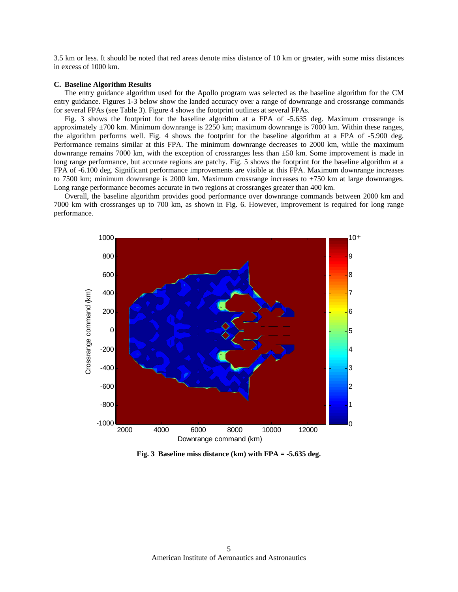3.5 km or less. It should be noted that red areas denote miss distance of 10 km or greater, with some miss distances in excess of 1000 km.

#### **C. Baseline Algorithm Results**

The entry guidance algorithm used for the Apollo program was selected as the baseline algorithm for the CM entry guidance. Figures 1-3 below show the landed accuracy over a range of downrange and crossrange commands for several FPAs (see [Table 3\)](#page-2-2). Figure 4 shows the footprint outlines at several FPAs.

[Fig. 3](#page-4-0) shows the footprint for the baseline algorithm at a FPA of -5.635 deg. Maximum crossrange is approximately ±700 km. Minimum downrange is 2250 km; maximum downrange is 7000 km. Within these ranges, the algorithm performs well. [Fig. 4](#page-5-0) shows the footprint for the baseline algorithm at a FPA of -5.900 deg. Performance remains similar at this FPA. The minimum downrange decreases to 2000 km, while the maximum downrange remains 7000 km, with the exception of crossranges less than  $\pm 50$  km. Some improvement is made in long range performance, but accurate regions are patchy. [Fig. 5](#page-5-1) shows the footprint for the baseline algorithm at a FPA of -6.100 deg. Significant performance improvements are visible at this FPA. Maximum downrange increases to 7500 km; minimum downrange is 2000 km. Maximum crossrange increases to ±750 km at large downranges. Long range performance becomes accurate in two regions at crossranges greater than 400 km.

Overall, the baseline algorithm provides good performance over downrange commands between 2000 km and 7000 km with crossranges up to 700 km, as shown in [Fig. 6.](#page-6-0) However, improvement is required for long range performance.



<span id="page-4-0"></span>**Fig. 3 Baseline miss distance (km) with FPA = -5.635 deg.**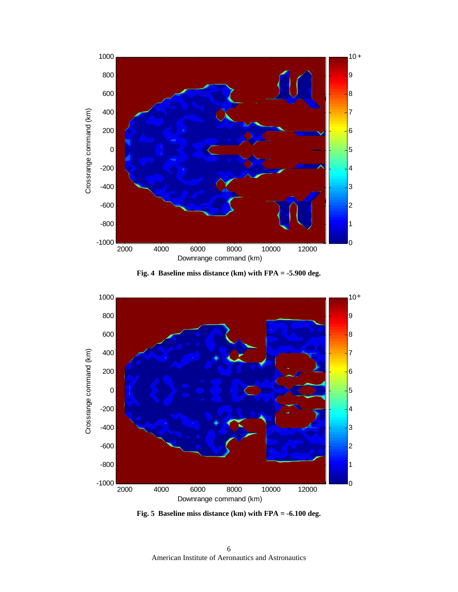



<span id="page-5-0"></span>

<span id="page-5-1"></span>**Fig. 5 Baseline miss distance (km) with FPA = -6.100 deg.**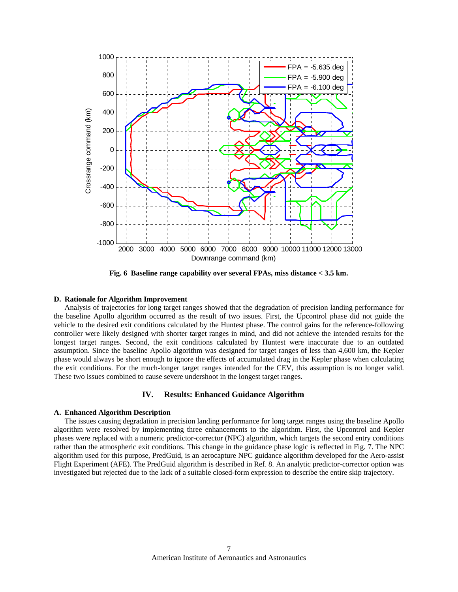

**Fig. 6 Baseline range capability over several FPAs, miss distance < 3.5 km.**

#### <span id="page-6-0"></span>**D. Rationale for Algorithm Improvement**

Analysis of trajectories for long target ranges showed that the degradation of precision landing performance for the baseline Apollo algorithm occurred as the result of two issues. First, the Upcontrol phase did not guide the vehicle to the desired exit conditions calculated by the Huntest phase. The control gains for the reference-following controller were likely designed with shorter target ranges in mind, and did not achieve the intended results for the longest target ranges. Second, the exit conditions calculated by Huntest were inaccurate due to an outdated assumption. Since the baseline Apollo algorithm was designed for target ranges of less than 4,600 km, the Kepler phase would always be short enough to ignore the effects of accumulated drag in the Kepler phase when calculating the exit conditions. For the much-longer target ranges intended for the CEV, this assumption is no longer valid. These two issues combined to cause severe undershoot in the longest target ranges.

## **IV. Results: Enhanced Guidance Algorithm**

#### **A. Enhanced Algorithm Description**

The issues causing degradation in precision landing performance for long target ranges using the baseline Apollo algorithm were resolved by implementing three enhancements to the algorithm. First, the Upcontrol and Kepler phases were replaced with a numeric predictor-corrector (NPC) algorithm, which targets the second entry conditions rather than the atmospheric exit conditions. This change in the guidance phase logic is reflected in [Fig. 7.](#page-7-0) The NPC algorithm used for this purpose, PredGuid, is an aerocapture NPC guidance algorithm developed for the Aero-assist Flight Experiment (AFE). The PredGuid algorithm is described in Ref. [8](#page-14-5). An analytic predictor-corrector option was investigated but rejected due to the lack of a suitable closed-form expression to describe the entire skip trajectory.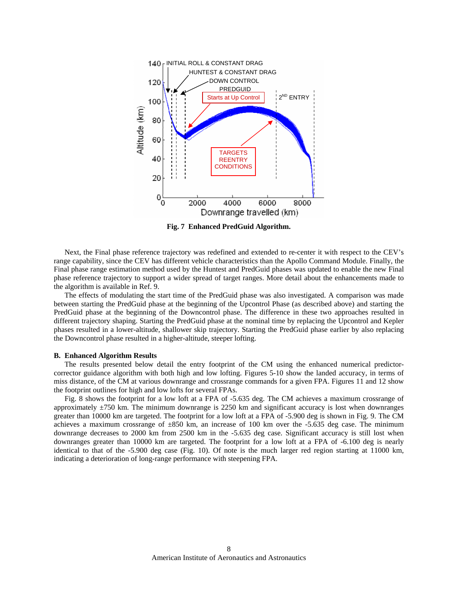

**Fig. 7 Enhanced PredGuid Algorithm.** 

<span id="page-7-0"></span> Next, the Final phase reference trajectory was redefined and extended to re-center it with respect to the CEV's range capability, since the CEV has different vehicle characteristics than the Apollo Command Module. Finally, the Final phase range estimation method used by the Huntest and PredGuid phases was updated to enable the new Final phase reference trajectory to support a wider spread of target ranges. More detail about the enhancements made to the algorithm is available in Ref. [9.](#page-14-6)

 The effects of modulating the start time of the PredGuid phase was also investigated. A comparison was made between starting the PredGuid phase at the beginning of the Upcontrol Phase (as described above) and starting the PredGuid phase at the beginning of the Downcontrol phase. The difference in these two approaches resulted in different trajectory shaping. Starting the PredGuid phase at the nominal time by replacing the Upcontrol and Kepler phases resulted in a lower-altitude, shallower skip trajectory. Starting the PredGuid phase earlier by also replacing the Downcontrol phase resulted in a higher-altitude, steeper lofting.

#### **B. Enhanced Algorithm Results**

The results presented below detail the entry footprint of the CM using the enhanced numerical predictorcorrector guidance algorithm with both high and low lofting. Figures 5-10 show the landed accuracy, in terms of miss distance, of the CM at various downrange and crossrange commands for a given FPA. Figures 11 and 12 show the footprint outlines for high and low lofts for several FPAs.

[Fig. 8](#page-8-0) shows the footprint for a low loft at a FPA of -5.635 deg. The CM achieves a maximum crossrange of approximately ±750 km. The minimum downrange is 2250 km and significant accuracy is lost when downranges greater than 10000 km are targeted. The footprint for a low loft at a FPA of -5.900 deg is shown in [Fig. 9.](#page-8-1) The CM achieves a maximum crossrange of  $\pm 850$  km, an increase of 100 km over the -5.635 deg case. The minimum downrange decreases to 2000 km from 2500 km in the -5.635 deg case. Significant accuracy is still lost when downranges greater than 10000 km are targeted. The footprint for a low loft at a FPA of -6.100 deg is nearly identical to that of the -5.900 deg case ([Fig. 10\)](#page-9-0). Of note is the much larger red region starting at 11000 km, indicating a deterioration of long-range performance with steepening FPA.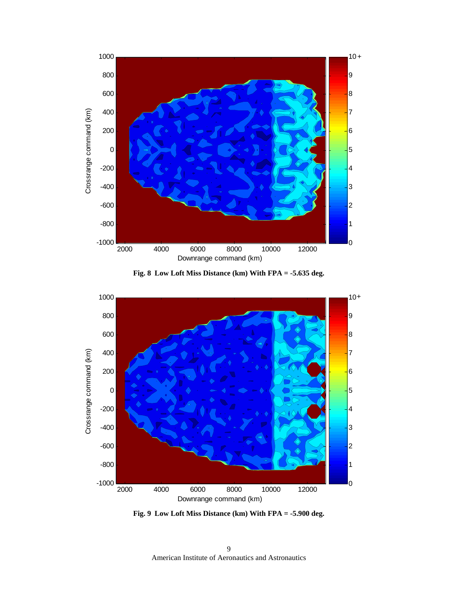



<span id="page-8-0"></span>

<span id="page-8-1"></span>**Fig. 9 Low Loft Miss Distance (km) With FPA = -5.900 deg.**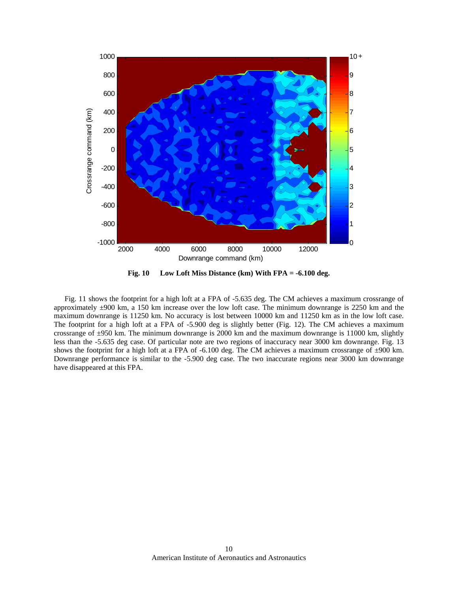

<span id="page-9-0"></span>[Fig. 11](#page-10-0) shows the footprint for a high loft at a FPA of -5.635 deg. The CM achieves a maximum crossrange of approximately ±900 km, a 150 km increase over the low loft case. The minimum downrange is 2250 km and the maximum downrange is 11250 km. No accuracy is lost between 10000 km and 11250 km as in the low loft case. The footprint for a high loft at a FPA of -5.900 deg is slightly better [\(Fig. 12](#page-10-1)). The CM achieves a maximum crossrange of ±950 km. The minimum downrange is 2000 km and the maximum downrange is 11000 km, slightly less than the -5.635 deg case. Of particular note are two regions of inaccuracy near 3000 km downrange. [Fig. 13](#page-11-0) shows the footprint for a high loft at a FPA of -6.100 deg. The CM achieves a maximum crossrange of  $\pm 900$  km. Downrange performance is similar to the -5.900 deg case. The two inaccurate regions near 3000 km downrange have disappeared at this FPA.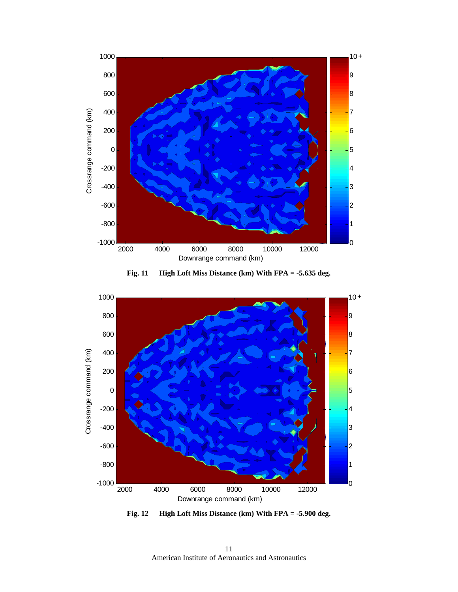



<span id="page-10-0"></span>

<span id="page-10-1"></span>**Fig. 12 High Loft Miss Distance (km) With FPA = -5.900 deg.** 

American Institute of Aeronautics and Astronautics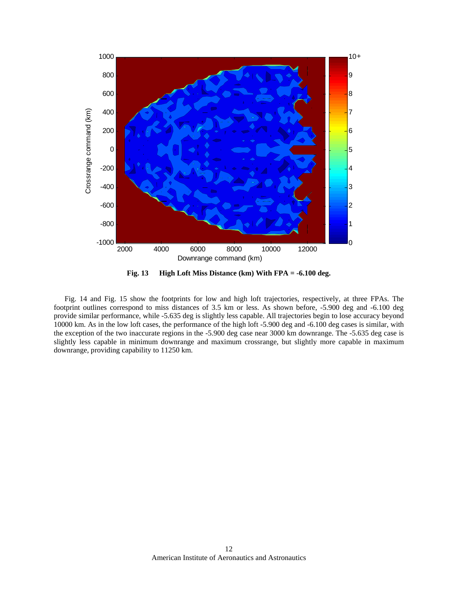

<span id="page-11-0"></span>[Fig. 14](#page-12-0) and [Fig. 15](#page-12-1) show the footprints for low and high loft trajectories, respectively, at three FPAs. The footprint outlines correspond to miss distances of 3.5 km or less. As shown before, -5.900 deg and -6.100 deg provide similar performance, while -5.635 deg is slightly less capable. All trajectories begin to lose accuracy beyond 10000 km. As in the low loft cases, the performance of the high loft -5.900 deg and -6.100 deg cases is similar, with the exception of the two inaccurate regions in the -5.900 deg case near 3000 km downrange. The -5.635 deg case is slightly less capable in minimum downrange and maximum crossrange, but slightly more capable in maximum downrange, providing capability to 11250 km.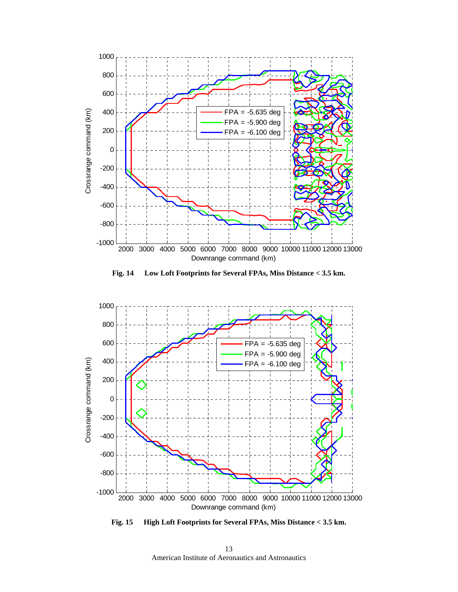

**Fig. 14 Low Loft Footprints for Several FPAs, Miss Distance < 3.5 km.** 

<span id="page-12-0"></span>

<span id="page-12-1"></span>**Fig. 15 High Loft Footprints for Several FPAs, Miss Distance < 3.5 km.** 

American Institute of Aeronautics and Astronautics 13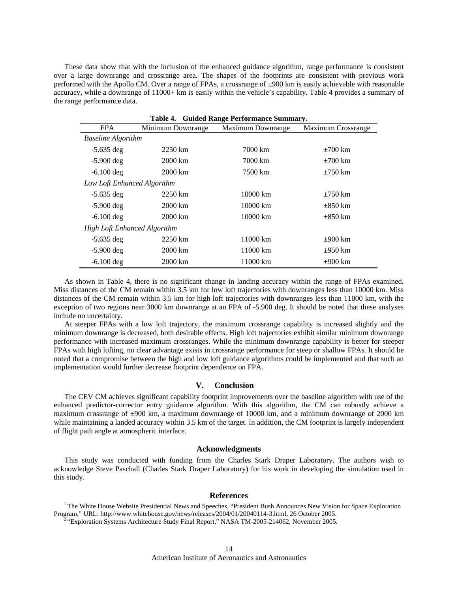<span id="page-13-2"></span>These data show that with the inclusion of the enhanced guidance algorithm, range performance is consistent over a large downrange and crossrange area. The shapes of the footprints are consistent with previous work performed with the Apollo CM. Over a range of FPAs, a crossrange of ±900 km is easily achievable with reasonable accuracy, while a downrange of 11000+ km is easily within the vehicle's capability. [Table 4](#page-13-2) provides a summary of the range performance data.

| Table 4. Guided Range Performance Summary. |                    |                   |                    |  |
|--------------------------------------------|--------------------|-------------------|--------------------|--|
| <b>FPA</b>                                 | Minimum Downrange  | Maximum Downrange | Maximum Crossrange |  |
| <b>Baseline Algorithm</b>                  |                    |                   |                    |  |
| $-5.635$ deg                               | 2250 km            | 7000 km           | $\pm 700$ km       |  |
| $-5.900$ deg                               | 2000 km            | 7000 km           | $\pm 700$ km       |  |
| $-6.100$ deg                               | $2000 \mathrm{km}$ | 7500 km           | $\pm 750$ km       |  |
| Low Loft Enhanced Algorithm                |                    |                   |                    |  |
| $-5.635$ deg                               | 2250 km            | 10000 km          | $\pm 750$ km       |  |
| $-5.900 \deg$                              | 2000 km            | 10000 km          | $\pm 850$ km       |  |
| $-6.100$ deg                               | 2000 km            | 10000 km          | $\pm 850$ km       |  |
| <b>High Loft Enhanced Algorithm</b>        |                    |                   |                    |  |
| $-5.635$ deg                               | 2250 km            | 11000 km          | $\pm 900$ km       |  |
| $-5.900$ deg                               | 2000 km            | 11000 km          | $\pm 950$ km       |  |
| $-6.100$ deg                               | 2000 km            | 11000 km          | $\pm 900$ km       |  |

As shown in [Table 4,](#page-13-2) there is no significant change in landing accuracy within the range of FPAs examined. Miss distances of the CM remain within 3.5 km for low loft trajectories with downranges less than 10000 km. Miss distances of the CM remain within 3.5 km for high loft trajectories with downranges less than 11000 km, with the exception of two regions near 3000 km downrange at an FPA of -5.900 deg. It should be noted that these analyses include no uncertainty.

At steeper FPAs with a low loft trajectory, the maximum crossrange capability is increased slightly and the minimum downrange is decreased, both desirable effects. High loft trajectories exhibit similar minimum downrange performance with increased maximum crossranges. While the minimum downrange capability is better for steeper FPAs with high lofting, no clear advantage exists in crossrange performance for steep or shallow FPAs. It should be noted that a compromise between the high and low loft guidance algorithms could be implemented and that such an implementation would further decrease footprint dependence on FPA.

## **V. Conclusion**

The CEV CM achieves significant capability footprint improvements over the baseline algorithm with use of the enhanced predictor-corrector entry guidance algorithm. With this algorithm, the CM can robustly achieve a maximum crossrange of ±900 km, a maximum downrange of 10000 km, and a minimum downrange of 2000 km while maintaining a landed accuracy within 3.5 km of the target. In addition, the CM footprint is largely independent of flight path angle at atmospheric interface.

#### **Acknowledgments**

This study was conducted with funding from the Charles Stark Draper Laboratory. The authors wish to acknowledge Steve Paschall (Charles Stark Draper Laboratory) for his work in developing the simulation used in this study.

# **References**

<span id="page-13-1"></span><span id="page-13-0"></span><sup>1</sup> The White House Website Presidential News and Speeches, "President Bush Announces New Vision for Space Exploration Program," URL: http://www.whitehouse.gov/news/releases/2004/01/20040114-3.html, 26 October 2005. "Exploration Systems Architecture Study Final Report," NASA TM-2005-214062, November 2005.